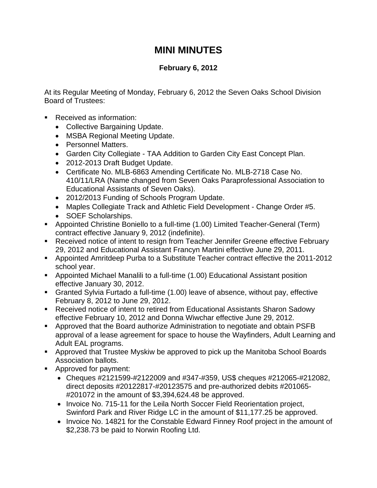## **MINI MINUTES**

## **February 6, 2012**

At its Regular Meeting of Monday, February 6, 2012 the Seven Oaks School Division Board of Trustees:

- Received as information:
	- Collective Bargaining Update.
	- MSBA Regional Meeting Update.
	- Personnel Matters.
	- Garden City Collegiate TAA Addition to Garden City East Concept Plan.
	- 2012-2013 Draft Budget Update.
	- Certificate No. MLB-6863 Amending Certificate No. MLB-2718 Case No. 410/11/LRA (Name changed from Seven Oaks Paraprofessional Association to Educational Assistants of Seven Oaks).
	- 2012/2013 Funding of Schools Program Update.
	- Maples Collegiate Track and Athletic Field Development Change Order #5.
	- SOEF Scholarships.
- Appointed Christine Boniello to a full-time (1.00) Limited Teacher-General (Term) contract effective January 9, 2012 (indefinite).
- **Received notice of intent to resign from Teacher Jennifer Greene effective February** 29, 2012 and Educational Assistant Francyn Martini effective June 29, 2011.
- Appointed Amritdeep Purba to a Substitute Teacher contract effective the 2011-2012 school year.
- Appointed Michael Manalili to a full-time (1.00) Educational Assistant position effective January 30, 2012.
- Granted Sylvia Furtado a full-time (1.00) leave of absence, without pay, effective February 8, 2012 to June 29, 2012.
- Received notice of intent to retired from Educational Assistants Sharon Sadowy effective February 10, 2012 and Donna Wiwchar effective June 29, 2012.
- Approved that the Board authorize Administration to negotiate and obtain PSFB approval of a lease agreement for space to house the Wayfinders, Adult Learning and Adult EAL programs.
- Approved that Trustee Myskiw be approved to pick up the Manitoba School Boards Association ballots.
- **Approved for payment:** 
	- Cheques #2121599-#2122009 and #347-#359, US\$ cheques #212065-#212082, direct deposits #20122817-#20123575 and pre-authorized debits #201065- #201072 in the amount of \$3,394,624.48 be approved.
	- Invoice No. 715-11 for the Leila North Soccer Field Reorientation project, Swinford Park and River Ridge LC in the amount of \$11,177.25 be approved.
	- Invoice No. 14821 for the Constable Edward Finney Roof project in the amount of \$2,238.73 be paid to Norwin Roofing Ltd.